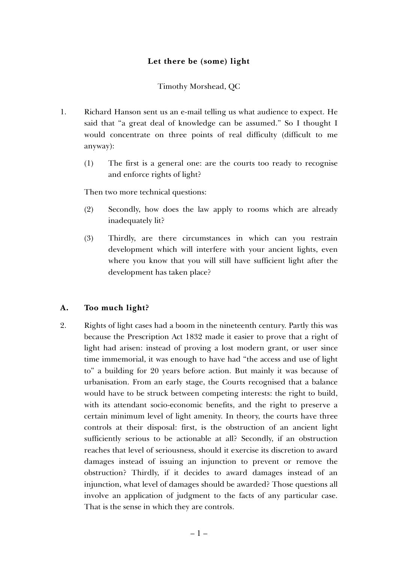## **Let there be (some) light**

Timothy Morshead, QC

- 1. Richard Hanson sent us an e-mail telling us what audience to expect. He said that "a great deal of knowledge can be assumed." So I thought I would concentrate on three points of real difficulty (difficult to me anyway):
	- (1) The first is a general one: are the courts too ready to recognise and enforce rights of light?

Then two more technical questions:

- (2) Secondly, how does the law apply to rooms which are already inadequately lit?
- (3) Thirdly, are there circumstances in which can you restrain development which will interfere with your ancient lights, even where you know that you will still have sufficient light after the development has taken place?

## **A. Too much light?**

2. Rights of light cases had a boom in the nineteenth century. Partly this was because the Prescription Act 1832 made it easier to prove that a right of light had arisen: instead of proving a lost modern grant, or user since time immemorial, it was enough to have had "the access and use of light to" a building for 20 years before action. But mainly it was because of urbanisation. From an early stage, the Courts recognised that a balance would have to be struck between competing interests: the right to build, with its attendant socio-economic benefits, and the right to preserve a certain minimum level of light amenity. In theory, the courts have three controls at their disposal: first, is the obstruction of an ancient light sufficiently serious to be actionable at all? Secondly, if an obstruction reaches that level of seriousness, should it exercise its discretion to award damages instead of issuing an injunction to prevent or remove the obstruction? Thirdly, if it decides to award damages instead of an injunction, what level of damages should be awarded? Those questions all involve an application of judgment to the facts of any particular case. That is the sense in which they are controls.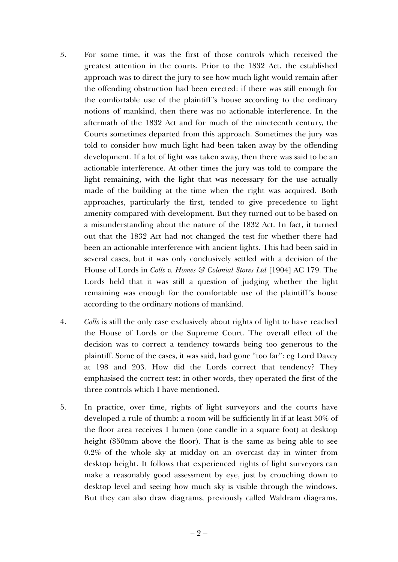- 3. For some time, it was the first of those controls which received the greatest attention in the courts. Prior to the 1832 Act, the established approach was to direct the jury to see how much light would remain after the offending obstruction had been erected: if there was still enough for the comfortable use of the plaintiff 's house according to the ordinary notions of mankind, then there was no actionable interference. In the aftermath of the 1832 Act and for much of the nineteenth century, the Courts sometimes departed from this approach. Sometimes the jury was told to consider how much light had been taken away by the offending development. If a lot of light was taken away, then there was said to be an actionable interference. At other times the jury was told to compare the light remaining, with the light that was necessary for the use actually made of the building at the time when the right was acquired. Both approaches, particularly the first, tended to give precedence to light amenity compared with development. But they turned out to be based on a misunderstanding about the nature of the 1832 Act. In fact, it turned out that the 1832 Act had not changed the test for whether there had been an actionable interference with ancient lights. This had been said in several cases, but it was only conclusively settled with a decision of the House of Lords in *Colls v. Homes & Colonial Stores Ltd* [1904] AC 179. The Lords held that it was still a question of judging whether the light remaining was enough for the comfortable use of the plaintiff 's house according to the ordinary notions of mankind.
- 4. *Colls* is still the only case exclusively about rights of light to have reached the House of Lords or the Supreme Court. The overall effect of the decision was to correct a tendency towards being too generous to the plaintiff. Some of the cases, it was said, had gone "too far": eg Lord Davey at 198 and 203. How did the Lords correct that tendency? They emphasised the correct test: in other words, they operated the first of the three controls which I have mentioned.
- 5. In practice, over time, rights of light surveyors and the courts have developed a rule of thumb: a room will be sufficiently lit if at least 50% of the floor area receives 1 lumen (one candle in a square foot) at desktop height (850mm above the floor). That is the same as being able to see 0.2% of the whole sky at midday on an overcast day in winter from desktop height. It follows that experienced rights of light surveyors can make a reasonably good assessment by eye, just by crouching down to desktop level and seeing how much sky is visible through the windows. But they can also draw diagrams, previously called Waldram diagrams,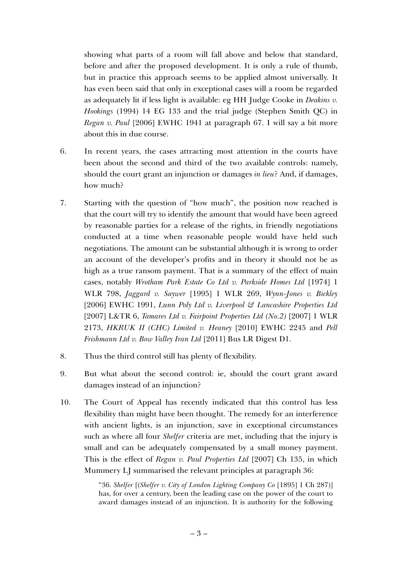showing what parts of a room will fall above and below that standard, before and after the proposed development. It is only a rule of thumb, but in practice this approach seems to be applied almost universally. It has even been said that only in exceptional cases will a room be regarded as adequately lit if less light is available: eg HH Judge Cooke in *Deakins v. Hookings* (1994) 14 EG 133 and the trial judge (Stephen Smith QC) in *Regan v. Paul* [2006] EWHC 1941 at paragraph 67. I will say a bit more about this in due course.

- 6. In recent years, the cases attracting most attention in the courts have been about the second and third of the two available controls: namely, should the court grant an injunction or damages *in lieu*? And, if damages, how much?
- 7. Starting with the question of "how much", the position now reached is that the court will try to identify the amount that would have been agreed by reasonable parties for a release of the rights, in friendly negotiations conducted at a time when reasonable people would have held such negotiations. The amount can be substantial although it is wrong to order an account of the developer's profits and in theory it should not be as high as a true ransom payment. That is a summary of the effect of main cases, notably *Wrotham Park Estate Co Ltd v. Parkside Homes Ltd* [1974] 1 WLR 798, *Jaggard v. Saywer* [1995] 1 WLR 269, *Wynn-Jones v. Bickley* [2006] EWHC 1991, *Lunn Poly Ltd v. Liverpool & Lancashire Properties Ltd* [2007] L&TR 6, *Tamares Ltd v. Fairpoint Properties Ltd (No.2)* [2007] 1 WLR 2173, *HKRUK II (CHC) Limited v. Heaney* [2010] EWHC 2245 and *Pell Frishmann Ltd v. Bow Valley Iran Ltd* [2011] Bus LR Digest D1.
- 8. Thus the third control still has plenty of flexibility.
- 9. But what about the second control: ie, should the court grant award damages instead of an injunction?
- 10. The Court of Appeal has recently indicated that this control has less flexibility than might have been thought. The remedy for an interference with ancient lights, is an injunction, save in exceptional circumstances such as where all four *Shelfer* criteria are met, including that the injury is small and can be adequately compensated by a small money payment. This is the effect of *Regan v. Paul Properties Ltd* [2007] Ch 135, in which Mummery LJ summarised the relevant principles at paragraph 36:

"36. *Shelfer* [(*Shelfer v. City of London Lighting Company Co* [1895] 1 Ch 287)] has, for over a century, been the leading case on the power of the court to award damages instead of an injunction. It is authority for the following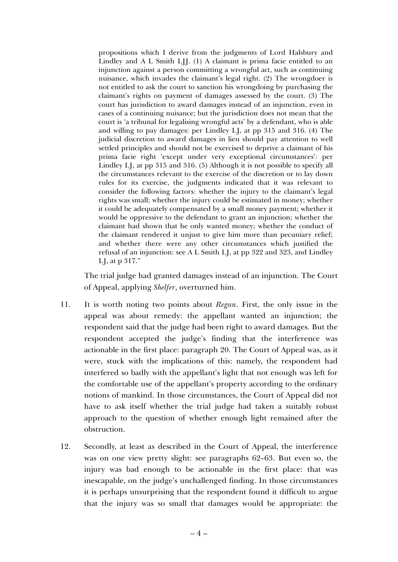propositions which I derive from the judgments of Lord Halsbury and Lindley and A L Smith LJJ. (1) A claimant is prima facie entitled to an injunction against a person committing a wrongful act, such as continuing nuisance, which invades the claimant's legal right. (2) The wrongdoer is not entitled to ask the court to sanction his wrongdoing by purchasing the claimant's rights on payment of damages assessed by the court. (3) The court has jurisdiction to award damages instead of an injunction, even in cases of a continuing nuisance; but the jurisdiction does not mean that the court is 'a tribunal for legalising wrongful acts' by a defendant, who is able and willing to pay damages: per Lindley LJ, at pp 315 and 316. (4) The judicial discretion to award damages in lieu should pay attention to well settled principles and should not be exercised to deprive a claimant of his prima facie right 'except under very exceptional circumstances': per Lindley LJ, at pp 315 and 316. (5) Although it is not possible to specify all the circumstances relevant to the exercise of the discretion or to lay down rules for its exercise, the judgments indicated that it was relevant to consider the following factors: whether the injury to the claimant's legal rights was small; whether the injury could be estimated in money; whether it could be adequately compensated by a small money payment; whether it would be oppressive to the defendant to grant an injunction; whether the claimant had shown that he only wanted money; whether the conduct of the claimant rendered it unjust to give him more than pecuniary relief; and whether there were any other circumstances which justified the refusal of an injunction: see A L Smith LJ, at pp 322 and 323, and Lindley LJ, at p 317."

The trial judge had granted damages instead of an injunction. The Court of Appeal, applying *Shelfer*, overturned him.

- 11. It is worth noting two points about *Regan*. First, the only issue in the appeal was about remedy: the appellant wanted an injunction; the respondent said that the judge had been right to award damages. But the respondent accepted the judge's finding that the interference was actionable in the first place: paragraph 20. The Court of Appeal was, as it were, stuck with the implications of this: namely, the respondent had interfered so badly with the appellant's light that not enough was left for the comfortable use of the appellant's property according to the ordinary notions of mankind. In those circumstances, the Court of Appeal did not have to ask itself whether the trial judge had taken a suitably robust approach to the question of whether enough light remained after the obstruction.
- 12. Secondly, at least as described in the Court of Appeal, the interference was on one view pretty slight: see paragraphs 62–63. But even so, the injury was bad enough to be actionable in the first place: that was inescapable, on the judge's unchallenged finding. In those circumstances it is perhaps unsurprising that the respondent found it difficult to argue that the injury was so small that damages would be appropriate: the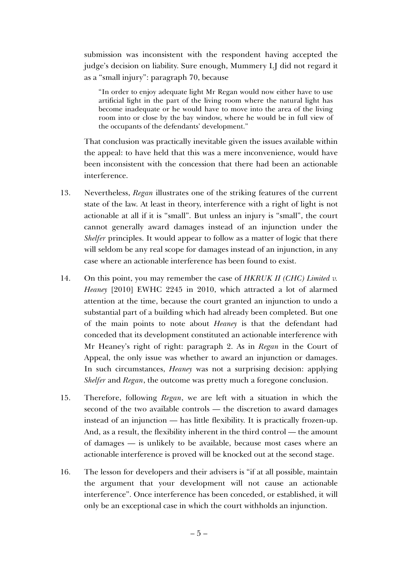submission was inconsistent with the respondent having accepted the judge's decision on liability. Sure enough, Mummery LJ did not regard it as a "small injury": paragraph 70, because

"In order to enjoy adequate light Mr Regan would now either have to use artificial light in the part of the living room where the natural light has become inadequate or he would have to move into the area of the living room into or close by the bay window, where he would be in full view of the occupants of the defendants' development."

That conclusion was practically inevitable given the issues available within the appeal: to have held that this was a mere inconvenience, would have been inconsistent with the concession that there had been an actionable interference.

- 13. Nevertheless, *Regan* illustrates one of the striking features of the current state of the law. At least in theory, interference with a right of light is not actionable at all if it is "small". But unless an injury is "small", the court cannot generally award damages instead of an injunction under the *Shelfer* principles. It would appear to follow as a matter of logic that there will seldom be any real scope for damages instead of an injunction, in any case where an actionable interference has been found to exist.
- 14. On this point, you may remember the case of *HKRUK II (CHC) Limited v. Heaney* [2010] EWHC 2245 in 2010, which attracted a lot of alarmed attention at the time, because the court granted an injunction to undo a substantial part of a building which had already been completed. But one of the main points to note about *Heaney* is that the defendant had conceded that its development constituted an actionable interference with Mr Heaney's right of right: paragraph 2. As in *Regan* in the Court of Appeal, the only issue was whether to award an injunction or damages. In such circumstances, *Heaney* was not a surprising decision: applying *Shelfer* and *Regan*, the outcome was pretty much a foregone conclusion.
- 15. Therefore, following *Regan*, we are left with a situation in which the second of the two available controls — the discretion to award damages instead of an injunction — has little flexibility. It is practically frozen-up. And, as a result, the flexibility inherent in the third control — the amount of damages — is unlikely to be available, because most cases where an actionable interference is proved will be knocked out at the second stage.
- 16. The lesson for developers and their advisers is "if at all possible, maintain the argument that your development will not cause an actionable interference". Once interference has been conceded, or established, it will only be an exceptional case in which the court withholds an injunction.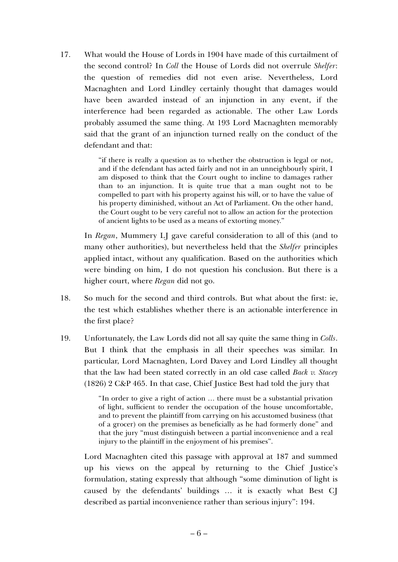17. What would the House of Lords in 1904 have made of this curtailment of the second control? In *Coll* the House of Lords did not overrule *Shelfer*: the question of remedies did not even arise. Nevertheless, Lord Macnaghten and Lord Lindley certainly thought that damages would have been awarded instead of an injunction in any event, if the interference had been regarded as actionable. The other Law Lords probably assumed the same thing. At 193 Lord Macnaghten memorably said that the grant of an injunction turned really on the conduct of the defendant and that:

> "if there is really a question as to whether the obstruction is legal or not, and if the defendant has acted fairly and not in an unneighbourly spirit, I am disposed to think that the Court ought to incline to damages rather than to an injunction. It is quite true that a man ought not to be compelled to part with his property against his will, or to have the value of his property diminished, without an Act of Parliament. On the other hand, the Court ought to be very careful not to allow an action for the protection of ancient lights to be used as a means of extorting money."

In *Regan*, Mummery LJ gave careful consideration to all of this (and to many other authorities), but nevertheless held that the *Shelfer* principles applied intact, without any qualification. Based on the authorities which were binding on him, I do not question his conclusion. But there is a higher court, where *Regan* did not go.

- 18. So much for the second and third controls. But what about the first: ie, the test which establishes whether there is an actionable interference in the first place?
- 19. Unfortunately, the Law Lords did not all say quite the same thing in *Colls*. But I think that the emphasis in all their speeches was similar. In particular, Lord Macnaghten, Lord Davey and Lord Lindley all thought that the law had been stated correctly in an old case called *Back v. Stacey*  (1826) 2 C&P 465. In that case, Chief Justice Best had told the jury that

"In order to give a right of action … there must be a substantial privation of light, sufficient to render the occupation of the house uncomfortable, and to prevent the plaintiff from carrying on his accustomed business (that of a grocer) on the premises as beneficially as he had formerly done" and that the jury "must distinguish between a partial inconvenience and a real injury to the plaintiff in the enjoyment of his premises".

Lord Macnaghten cited this passage with approval at 187 and summed up his views on the appeal by returning to the Chief Justice's formulation, stating expressly that although "some diminution of light is caused by the defendants' buildings … it is exactly what Best CJ described as partial inconvenience rather than serious injury": 194.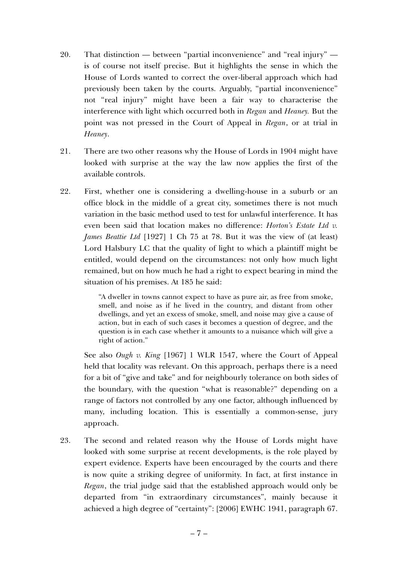- 20. That distinction between "partial inconvenience" and "real injury" is of course not itself precise. But it highlights the sense in which the House of Lords wanted to correct the over-liberal approach which had previously been taken by the courts. Arguably, "partial inconvenience" not "real injury" might have been a fair way to characterise the interference with light which occurred both in *Regan* and *Heaney.* But the point was not pressed in the Court of Appeal in *Regan*, or at trial in *Heaney*.
- 21. There are two other reasons why the House of Lords in 1904 might have looked with surprise at the way the law now applies the first of the available controls.
- 22. First, whether one is considering a dwelling-house in a suburb or an office block in the middle of a great city, sometimes there is not much variation in the basic method used to test for unlawful interference. It has even been said that location makes no difference: *Horton's Estate Ltd v. James Beattie Ltd* [1927] 1 Ch 75 at 78. But it was the view of (at least) Lord Halsbury LC that the quality of light to which a plaintiff might be entitled, would depend on the circumstances: not only how much light remained, but on how much he had a right to expect bearing in mind the situation of his premises. At 185 he said:

"A dweller in towns cannot expect to have as pure air, as free from smoke, smell, and noise as if he lived in the country, and distant from other dwellings, and yet an excess of smoke, smell, and noise may give a cause of action, but in each of such cases it becomes a question of degree, and the question is in each case whether it amounts to a nuisance which will give a right of action."

See also *Ough v. King* [1967] 1 WLR 1547, where the Court of Appeal held that locality was relevant. On this approach, perhaps there is a need for a bit of "give and take" and for neighbourly tolerance on both sides of the boundary, with the question "what is reasonable?" depending on a range of factors not controlled by any one factor, although influenced by many, including location. This is essentially a common-sense, jury approach.

23. The second and related reason why the House of Lords might have looked with some surprise at recent developments, is the role played by expert evidence. Experts have been encouraged by the courts and there is now quite a striking degree of uniformity. In fact, at first instance in *Regan*, the trial judge said that the established approach would only be departed from "in extraordinary circumstances", mainly because it achieved a high degree of "certainty": [2006] EWHC 1941, paragraph 67.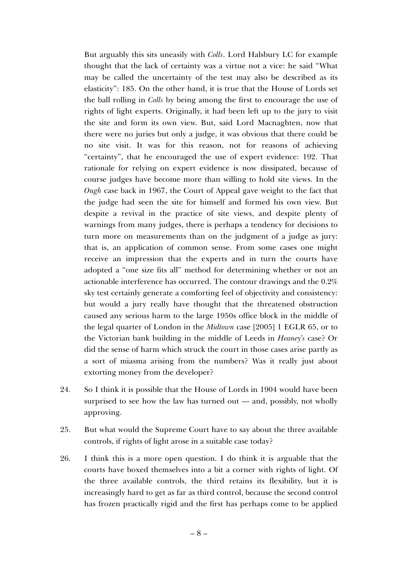But arguably this sits uneasily with *Colls*. Lord Halsbury LC for example thought that the lack of certainty was a virtue not a vice: he said "What may be called the uncertainty of the test may also be described as its elasticity": 185. On the other hand, it is true that the House of Lords set the ball rolling in *Colls* by being among the first to encourage the use of rights of light experts. Originally, it had been left up to the jury to visit the site and form its own view. But, said Lord Macnaghten, now that there were no juries but only a judge, it was obvious that there could be no site visit. It was for this reason, not for reasons of achieving "certainty", that he encouraged the use of expert evidence: 192. That rationale for relying on expert evidence is now dissipated, because of course judges have become more than willing to hold site views. In the *Ough* case back in 1967, the Court of Appeal gave weight to the fact that the judge had seen the site for himself and formed his own view. But despite a revival in the practice of site views, and despite plenty of warnings from many judges, there is perhaps a tendency for decisions to turn more on measurements than on the judgment of a judge as jury: that is, an application of common sense. From some cases one might receive an impression that the experts and in turn the courts have adopted a "one size fits all" method for determining whether or not an actionable interference has occurred. The contour drawings and the 0.2% sky test certainly generate a comforting feel of objectivity and consistency: but would a jury really have thought that the threatened obstruction caused any serious harm to the large 1950s office block in the middle of the legal quarter of London in the *Midtown* case [2005] 1 EGLR 65, or to the Victorian bank building in the middle of Leeds in *Heaney's* case? Or did the sense of harm which struck the court in those cases arise partly as a sort of miasma arising from the numbers? Was it really just about extorting money from the developer?

- 24. So I think it is possible that the House of Lords in 1904 would have been surprised to see how the law has turned out — and, possibly, not wholly approving.
- 25. But what would the Supreme Court have to say about the three available controls, if rights of light arose in a suitable case today?
- 26. I think this is a more open question. I do think it is arguable that the courts have boxed themselves into a bit a corner with rights of light. Of the three available controls, the third retains its flexibility, but it is increasingly hard to get as far as third control, because the second control has frozen practically rigid and the first has perhaps come to be applied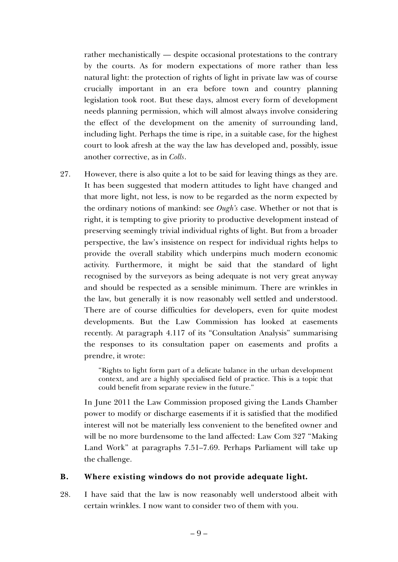rather mechanistically — despite occasional protestations to the contrary by the courts. As for modern expectations of more rather than less natural light: the protection of rights of light in private law was of course crucially important in an era before town and country planning legislation took root. But these days, almost every form of development needs planning permission, which will almost always involve considering the effect of the development on the amenity of surrounding land, including light. Perhaps the time is ripe, in a suitable case, for the highest court to look afresh at the way the law has developed and, possibly, issue another corrective, as in *Colls*.

27. However, there is also quite a lot to be said for leaving things as they are. It has been suggested that modern attitudes to light have changed and that more light, not less, is now to be regarded as the norm expected by the ordinary notions of mankind: see *Ough's* case. Whether or not that is right, it is tempting to give priority to productive development instead of preserving seemingly trivial individual rights of light. But from a broader perspective, the law's insistence on respect for individual rights helps to provide the overall stability which underpins much modern economic activity. Furthermore, it might be said that the standard of light recognised by the surveyors as being adequate is not very great anyway and should be respected as a sensible minimum. There are wrinkles in the law, but generally it is now reasonably well settled and understood. There are of course difficulties for developers, even for quite modest developments. But the Law Commission has looked at easements recently. At paragraph 4.117 of its "Consultation Analysis" summarising the responses to its consultation paper on easements and profits a prendre, it wrote:

> "Rights to light form part of a delicate balance in the urban development context, and are a highly specialised field of practice. This is a topic that could benefit from separate review in the future."

In June 2011 the Law Commission proposed giving the Lands Chamber power to modify or discharge easements if it is satisfied that the modified interest will not be materially less convenient to the benefited owner and will be no more burdensome to the land affected: Law Com 327 "Making Land Work" at paragraphs 7.51–7.69. Perhaps Parliament will take up the challenge.

## **B. Where existing windows do not provide adequate light.**

28. I have said that the law is now reasonably well understood albeit with certain wrinkles. I now want to consider two of them with you.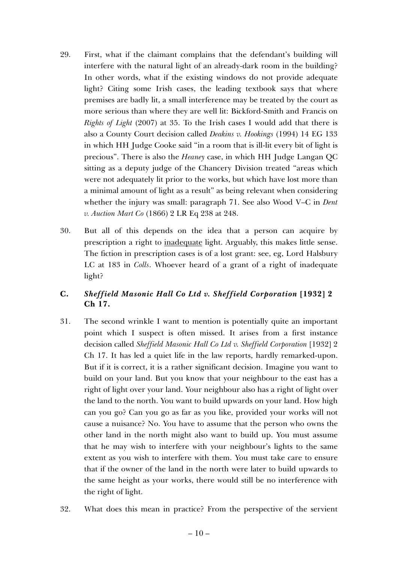- 29. First, what if the claimant complains that the defendant's building will interfere with the natural light of an already-dark room in the building? In other words, what if the existing windows do not provide adequate light? Citing some Irish cases, the leading textbook says that where premises are badly lit, a small interference may be treated by the court as more serious than where they are well lit: Bickford-Smith and Francis on *Rights of Light* (2007) at 35. To the Irish cases I would add that there is also a County Court decision called *Deakins v. Hookings* (1994) 14 EG 133 in which HH Judge Cooke said "in a room that is ill-lit every bit of light is precious". There is also the *Heaney* case, in which HH Judge Langan QC sitting as a deputy judge of the Chancery Division treated "areas which were not adequately lit prior to the works, but which have lost more than a minimal amount of light as a result" as being relevant when considering whether the injury was small: paragraph 71. See also Wood V–C in *Dent v. Auction Mart Co* (1866) 2 LR Eq 238 at 248.
- 30. But all of this depends on the idea that a person can acquire by prescription a right to inadequate light. Arguably, this makes little sense. The fiction in prescription cases is of a lost grant: see, eg, Lord Halsbury LC at 183 in *Colls*. Whoever heard of a grant of a right of inadequate light?

## **C.** *Sheffield Masonic Hall Co Ltd v. Sheffield Corporation* **[1932] 2 Ch 17.**

- 31. The second wrinkle I want to mention is potentially quite an important point which I suspect is often missed. It arises from a first instance decision called *Sheffield Masonic Hall Co Ltd v. Sheffield Corporation* [1932] 2 Ch 17. It has led a quiet life in the law reports, hardly remarked-upon. But if it is correct, it is a rather significant decision. Imagine you want to build on your land. But you know that your neighbour to the east has a right of light over your land. Your neighbour also has a right of light over the land to the north. You want to build upwards on your land. How high can you go? Can you go as far as you like, provided your works will not cause a nuisance? No. You have to assume that the person who owns the other land in the north might also want to build up. You must assume that he may wish to interfere with your neighbour's lights to the same extent as you wish to interfere with them. You must take care to ensure that if the owner of the land in the north were later to build upwards to the same height as your works, there would still be no interference with the right of light.
- 32. What does this mean in practice? From the perspective of the servient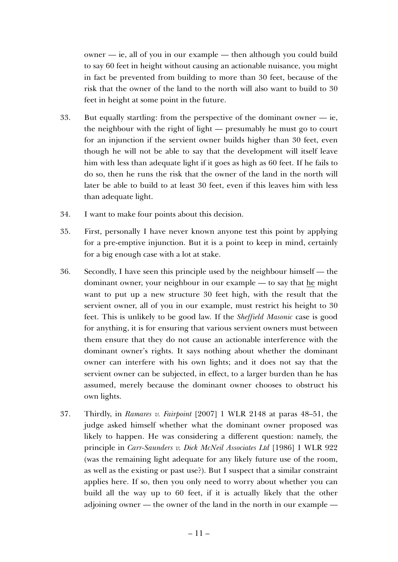owner — ie, all of you in our example — then although you could build to say 60 feet in height without causing an actionable nuisance, you might in fact be prevented from building to more than 30 feet, because of the risk that the owner of the land to the north will also want to build to 30 feet in height at some point in the future.

- 33. But equally startling: from the perspective of the dominant owner ie, the neighbour with the right of light — presumably he must go to court for an injunction if the servient owner builds higher than 30 feet, even though he will not be able to say that the development will itself leave him with less than adequate light if it goes as high as 60 feet. If he fails to do so, then he runs the risk that the owner of the land in the north will later be able to build to at least 30 feet, even if this leaves him with less than adequate light.
- 34. I want to make four points about this decision.
- 35. First, personally I have never known anyone test this point by applying for a pre-emptive injunction. But it is a point to keep in mind, certainly for a big enough case with a lot at stake.
- 36. Secondly, I have seen this principle used by the neighbour himself the dominant owner, your neighbour in our example — to say that he might want to put up a new structure 30 feet high, with the result that the servient owner, all of you in our example, must restrict his height to 30 feet. This is unlikely to be good law. If the *Sheffield Masonic* case is good for anything, it is for ensuring that various servient owners must between them ensure that they do not cause an actionable interference with the dominant owner's rights. It says nothing about whether the dominant owner can interfere with his own lights; and it does not say that the servient owner can be subjected, in effect, to a larger burden than he has assumed, merely because the dominant owner chooses to obstruct his own lights.
- 37. Thirdly, in *Ramares v. Fairpoint* [2007] 1 WLR 2148 at paras 48–51, the judge asked himself whether what the dominant owner proposed was likely to happen. He was considering a different question: namely, the principle in *Carr-Saunders v. Dick McNeil Associates Ltd* [1986] 1 WLR 922 (was the remaining light adequate for any likely future use of the room, as well as the existing or past use?). But I suspect that a similar constraint applies here. If so, then you only need to worry about whether you can build all the way up to 60 feet, if it is actually likely that the other adjoining owner — the owner of the land in the north in our example —